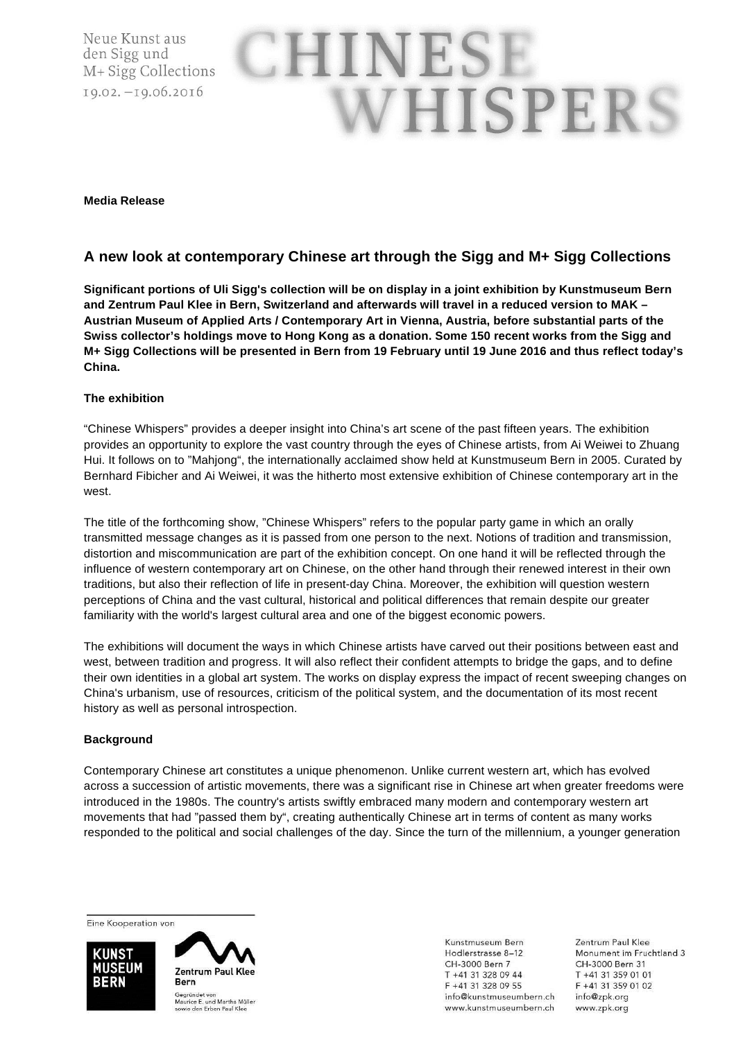Neue Kunst aus den Sigg und M+ Sigg Collections 19.02. - 19.06.2016

# CHINESI WHISPERS

#### **Media Release**

### **A new look at contemporary Chinese art through the Sigg and M+ Sigg Collections**

**Significant portions of Uli Sigg's collection will be on display in a joint exhibition by Kunstmuseum Bern and Zentrum Paul Klee in Bern, Switzerland and afterwards will travel in a reduced version to MAK – Austrian Museum of Applied Arts / Contemporary Art in Vienna, Austria, before substantial parts of the Swiss collector's holdings move to Hong Kong as a donation. Some 150 recent works from the Sigg and M+ Sigg Collections will be presented in Bern from 19 February until 19 June 2016 and thus reflect today's China.** 

#### **The exhibition**

"Chinese Whispers" provides a deeper insight into China's art scene of the past fifteen years. The exhibition provides an opportunity to explore the vast country through the eyes of Chinese artists, from Ai Weiwei to Zhuang Hui. It follows on to "Mahjong", the internationally acclaimed show held at Kunstmuseum Bern in 2005. Curated by Bernhard Fibicher and Ai Weiwei, it was the hitherto most extensive exhibition of Chinese contemporary art in the west.

The title of the forthcoming show, "Chinese Whispers" refers to the popular party game in which an orally transmitted message changes as it is passed from one person to the next. Notions of tradition and transmission, distortion and miscommunication are part of the exhibition concept. On one hand it will be reflected through the influence of western contemporary art on Chinese, on the other hand through their renewed interest in their own traditions, but also their reflection of life in present-day China. Moreover, the exhibition will question western perceptions of China and the vast cultural, historical and political differences that remain despite our greater familiarity with the world's largest cultural area and one of the biggest economic powers.

The exhibitions will document the ways in which Chinese artists have carved out their positions between east and west, between tradition and progress. It will also reflect their confident attempts to bridge the gaps, and to define their own identities in a global art system. The works on display express the impact of recent sweeping changes on China's urbanism, use of resources, criticism of the political system, and the documentation of its most recent history as well as personal introspection.

#### **Background**

Contemporary Chinese art constitutes a unique phenomenon. Unlike current western art, which has evolved across a succession of artistic movements, there was a significant rise in Chinese art when greater freedoms were introduced in the 1980s. The country's artists swiftly embraced many modern and contemporary western art movements that had "passed them by", creating authentically Chinese art in terms of content as many works responded to the political and social challenges of the day. Since the turn of the millennium, a younger generation

Eine Kooperation von

**TINST JSEUM** BERN



Kunstmuseum Bern Hodlerstrasse 8-12 CH-3000 Bern 7 T +41 31 328 09 44 F +41 31 328 09 55 info@kunstmuseumbern.ch www.kunstmuseumbern.ch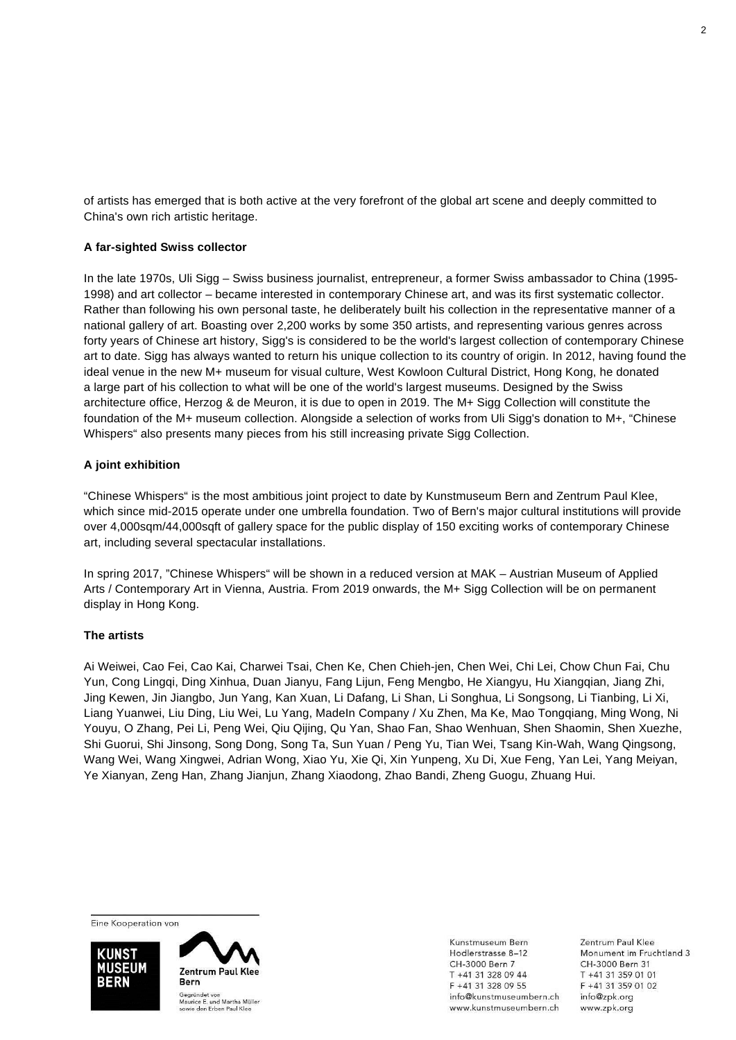of artists has emerged that is both active at the very forefront of the global art scene and deeply committed to China's own rich artistic heritage.

#### **A far-sighted Swiss collector**

In the late 1970s, Uli Sigg – Swiss business journalist, entrepreneur, a former Swiss ambassador to China (1995- 1998) and art collector – became interested in contemporary Chinese art, and was its first systematic collector. Rather than following his own personal taste, he deliberately built his collection in the representative manner of a national gallery of art. Boasting over 2,200 works by some 350 artists, and representing various genres across forty years of Chinese art history, Sigg's is considered to be the world's largest collection of contemporary Chinese art to date. Sigg has always wanted to return his unique collection to its country of origin. In 2012, having found the ideal venue in the new M+ museum for visual culture, West Kowloon Cultural District, Hong Kong, he donated a large part of his collection to what will be one of the world's largest museums. Designed by the Swiss architecture office, Herzog & de Meuron, it is due to open in 2019. The M+ Sigg Collection will constitute the foundation of the M+ museum collection. Alongside a selection of works from Uli Sigg's donation to M+, "Chinese Whispers" also presents many pieces from his still increasing private Sigg Collection.

#### **A joint exhibition**

"Chinese Whispers" is the most ambitious joint project to date by Kunstmuseum Bern and Zentrum Paul Klee, which since mid-2015 operate under one umbrella foundation. Two of Bern's major cultural institutions will provide over 4,000sqm/44,000sqft of gallery space for the public display of 150 exciting works of contemporary Chinese art, including several spectacular installations.

In spring 2017, "Chinese Whispers" will be shown in a reduced version at MAK – Austrian Museum of Applied Arts / Contemporary Art in Vienna, Austria. From 2019 onwards, the M+ Sigg Collection will be on permanent display in Hong Kong.

#### **The artists**

Ai Weiwei, Cao Fei, Cao Kai, Charwei Tsai, Chen Ke, Chen Chieh-jen, Chen Wei, Chi Lei, Chow Chun Fai, Chu Yun, Cong Lingqi, Ding Xinhua, Duan Jianyu, Fang Lijun, Feng Mengbo, He Xiangyu, Hu Xiangqian, Jiang Zhi, Jing Kewen, Jin Jiangbo, Jun Yang, Kan Xuan, Li Dafang, Li Shan, Li Songhua, Li Songsong, Li Tianbing, Li Xi, Liang Yuanwei, Liu Ding, Liu Wei, Lu Yang, MadeIn Company / Xu Zhen, Ma Ke, Mao Tongqiang, Ming Wong, Ni Youyu, O Zhang, Pei Li, Peng Wei, Qiu Qijing, Qu Yan, Shao Fan, Shao Wenhuan, Shen Shaomin, Shen Xuezhe, Shi Guorui, Shi Jinsong, Song Dong, Song Ta, Sun Yuan / Peng Yu, Tian Wei, Tsang Kin-Wah, Wang Qingsong, Wang Wei, Wang Xingwei, Adrian Wong, Xiao Yu, Xie Qi, Xin Yunpeng, Xu Di, Xue Feng, Yan Lei, Yang Meiyan, Ye Xianyan, Zeng Han, Zhang Jianjun, Zhang Xiaodong, Zhao Bandi, Zheng Guogu, Zhuang Hui.

Eine Kooperation von





Kunstmuseum Bern Hodlerstrasse 8-12 CH-3000 Bern 7 T +41 31 328 09 44 F +41 31 328 09 55 info@kunstmuseumbern.ch www.kunstmuseumbern.ch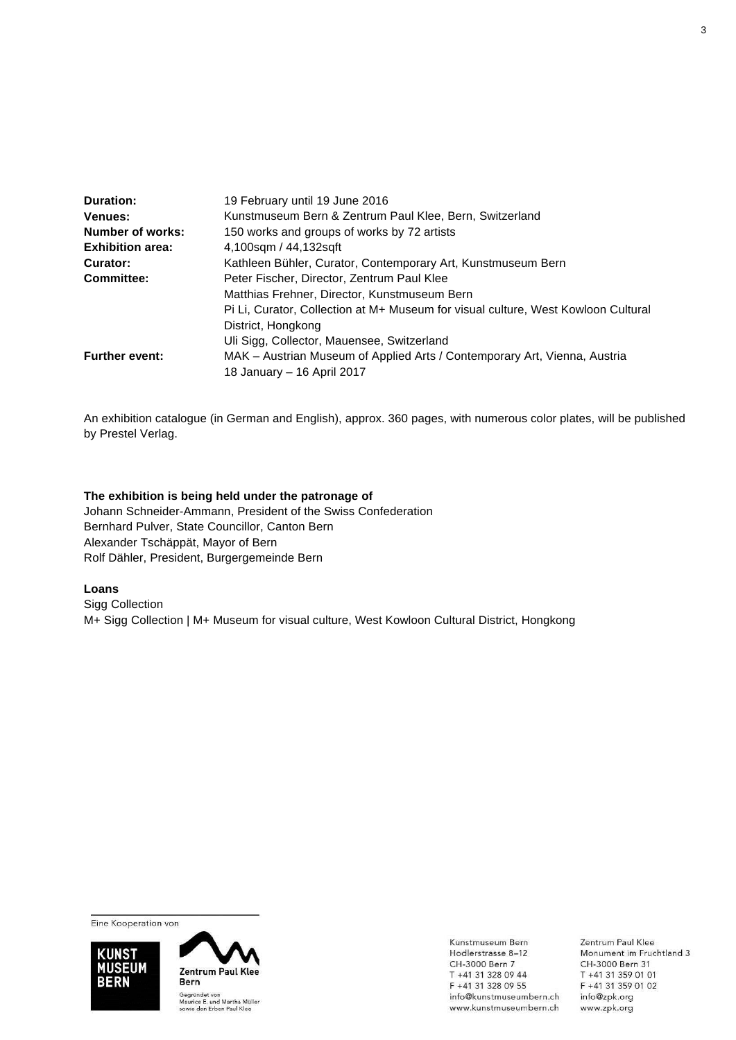| <b>Duration:</b>        | 19 February until 19 June 2016                                                    |
|-------------------------|-----------------------------------------------------------------------------------|
| <b>Venues:</b>          | Kunstmuseum Bern & Zentrum Paul Klee, Bern, Switzerland                           |
| Number of works:        | 150 works and groups of works by 72 artists                                       |
| <b>Exhibition area:</b> | 4,100sqm / 44,132sqft                                                             |
| Curator:                | Kathleen Bühler, Curator, Contemporary Art, Kunstmuseum Bern                      |
| <b>Committee:</b>       | Peter Fischer, Director, Zentrum Paul Klee                                        |
|                         | Matthias Frehner, Director, Kunstmuseum Bern                                      |
|                         | Pi Li, Curator, Collection at M+ Museum for visual culture, West Kowloon Cultural |
|                         | District, Hongkong                                                                |
|                         | Uli Sigg, Collector, Mauensee, Switzerland                                        |
| <b>Further event:</b>   | MAK - Austrian Museum of Applied Arts / Contemporary Art, Vienna, Austria         |
|                         | 18 January - 16 April 2017                                                        |

An exhibition catalogue (in German and English), approx. 360 pages, with numerous color plates, will be published by Prestel Verlag.

#### **The exhibition is being held under the patronage of**

Johann Schneider-Ammann, President of the Swiss Confederation Bernhard Pulver, State Councillor, Canton Bern Alexander Tschäppät, Mayor of Bern Rolf Dähler, President, Burgergemeinde Bern

#### **Loans**

Sigg Collection M+ Sigg Collection | M+ Museum for visual culture, West Kowloon Cultural District, Hongkong

Eine Kooperation von





Kunstmuseum Bern Hodlerstrasse 8-12 CH-3000 Bern 7 T +41 31 328 09 44 F +41 31 328 09 55 info@kunstmuseumbern.ch www.kunstmuseumbern.ch